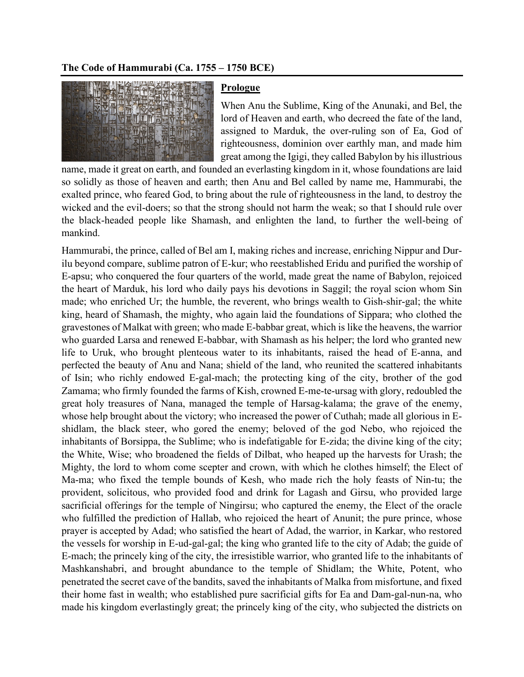## **The Code of Hammurabi (Ca. 1755 – 1750 BCE)**



## **Prologue**

When Anu the Sublime, King of the Anunaki, and Bel, the lord of Heaven and earth, who decreed the fate of the land, assigned to Marduk, the over-ruling son of Ea, God of righteousness, dominion over earthly man, and made him great among the Igigi, they called Babylon by his illustrious

name, made it great on earth, and founded an everlasting kingdom in it, whose foundations are laid so solidly as those of heaven and earth; then Anu and Bel called by name me, Hammurabi, the exalted prince, who feared God, to bring about the rule of righteousness in the land, to destroy the wicked and the evil-doers; so that the strong should not harm the weak; so that I should rule over the black-headed people like Shamash, and enlighten the land, to further the well-being of mankind.

Hammurabi, the prince, called of Bel am I, making riches and increase, enriching Nippur and Durilu beyond compare, sublime patron of E-kur; who reestablished Eridu and purified the worship of E-apsu; who conquered the four quarters of the world, made great the name of Babylon, rejoiced the heart of Marduk, his lord who daily pays his devotions in Saggil; the royal scion whom Sin made; who enriched Ur; the humble, the reverent, who brings wealth to Gish-shir-gal; the white king, heard of Shamash, the mighty, who again laid the foundations of Sippara; who clothed the gravestones of Malkat with green; who made E-babbar great, which is like the heavens, the warrior who guarded Larsa and renewed E-babbar, with Shamash as his helper; the lord who granted new life to Uruk, who brought plenteous water to its inhabitants, raised the head of E-anna, and perfected the beauty of Anu and Nana; shield of the land, who reunited the scattered inhabitants of Isin; who richly endowed E-gal-mach; the protecting king of the city, brother of the god Zamama; who firmly founded the farms of Kish, crowned E-me-te-ursag with glory, redoubled the great holy treasures of Nana, managed the temple of Harsag-kalama; the grave of the enemy, whose help brought about the victory; who increased the power of Cuthah; made all glorious in Eshidlam, the black steer, who gored the enemy; beloved of the god Nebo, who rejoiced the inhabitants of Borsippa, the Sublime; who is indefatigable for E-zida; the divine king of the city; the White, Wise; who broadened the fields of Dilbat, who heaped up the harvests for Urash; the Mighty, the lord to whom come scepter and crown, with which he clothes himself; the Elect of Ma-ma; who fixed the temple bounds of Kesh, who made rich the holy feasts of Nin-tu; the provident, solicitous, who provided food and drink for Lagash and Girsu, who provided large sacrificial offerings for the temple of Ningirsu; who captured the enemy, the Elect of the oracle who fulfilled the prediction of Hallab, who rejoiced the heart of Anunit; the pure prince, whose prayer is accepted by Adad; who satisfied the heart of Adad, the warrior, in Karkar, who restored the vessels for worship in E-ud-gal-gal; the king who granted life to the city of Adab; the guide of E-mach; the princely king of the city, the irresistible warrior, who granted life to the inhabitants of Mashkanshabri, and brought abundance to the temple of Shidlam; the White, Potent, who penetrated the secret cave of the bandits, saved the inhabitants of Malka from misfortune, and fixed their home fast in wealth; who established pure sacrificial gifts for Ea and Dam-gal-nun-na, who made his kingdom everlastingly great; the princely king of the city, who subjected the districts on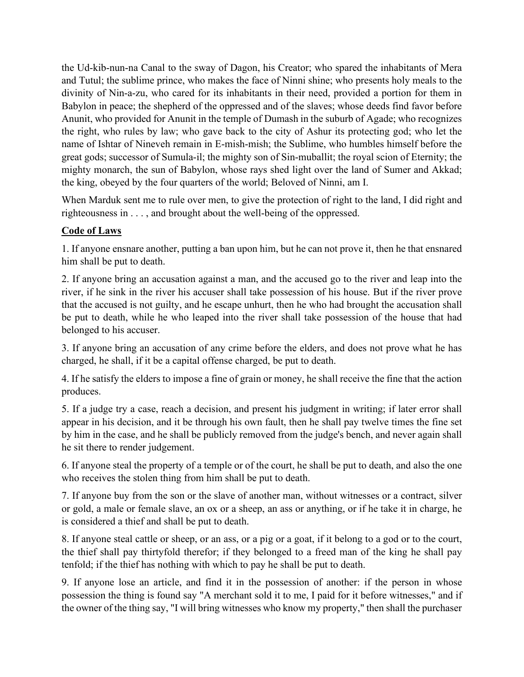the Ud-kib-nun-na Canal to the sway of Dagon, his Creator; who spared the inhabitants of Mera and Tutul; the sublime prince, who makes the face of Ninni shine; who presents holy meals to the divinity of Nin-a-zu, who cared for its inhabitants in their need, provided a portion for them in Babylon in peace; the shepherd of the oppressed and of the slaves; whose deeds find favor before Anunit, who provided for Anunit in the temple of Dumash in the suburb of Agade; who recognizes the right, who rules by law; who gave back to the city of Ashur its protecting god; who let the name of Ishtar of Nineveh remain in E-mish-mish; the Sublime, who humbles himself before the great gods; successor of Sumula-il; the mighty son of Sin-muballit; the royal scion of Eternity; the mighty monarch, the sun of Babylon, whose rays shed light over the land of Sumer and Akkad; the king, obeyed by the four quarters of the world; Beloved of Ninni, am I.

When Marduk sent me to rule over men, to give the protection of right to the land, I did right and righteousness in . . . , and brought about the well-being of the oppressed.

## **Code of Laws**

1. If anyone ensnare another, putting a ban upon him, but he can not prove it, then he that ensnared him shall be put to death.

2. If anyone bring an accusation against a man, and the accused go to the river and leap into the river, if he sink in the river his accuser shall take possession of his house. But if the river prove that the accused is not guilty, and he escape unhurt, then he who had brought the accusation shall be put to death, while he who leaped into the river shall take possession of the house that had belonged to his accuser.

3. If anyone bring an accusation of any crime before the elders, and does not prove what he has charged, he shall, if it be a capital offense charged, be put to death.

4. If he satisfy the elders to impose a fine of grain or money, he shall receive the fine that the action produces.

5. If a judge try a case, reach a decision, and present his judgment in writing; if later error shall appear in his decision, and it be through his own fault, then he shall pay twelve times the fine set by him in the case, and he shall be publicly removed from the judge's bench, and never again shall he sit there to render judgement.

6. If anyone steal the property of a temple or of the court, he shall be put to death, and also the one who receives the stolen thing from him shall be put to death.

7. If anyone buy from the son or the slave of another man, without witnesses or a contract, silver or gold, a male or female slave, an ox or a sheep, an ass or anything, or if he take it in charge, he is considered a thief and shall be put to death.

8. If anyone steal cattle or sheep, or an ass, or a pig or a goat, if it belong to a god or to the court, the thief shall pay thirtyfold therefor; if they belonged to a freed man of the king he shall pay tenfold; if the thief has nothing with which to pay he shall be put to death.

9. If anyone lose an article, and find it in the possession of another: if the person in whose possession the thing is found say "A merchant sold it to me, I paid for it before witnesses," and if the owner of the thing say, "I will bring witnesses who know my property," then shall the purchaser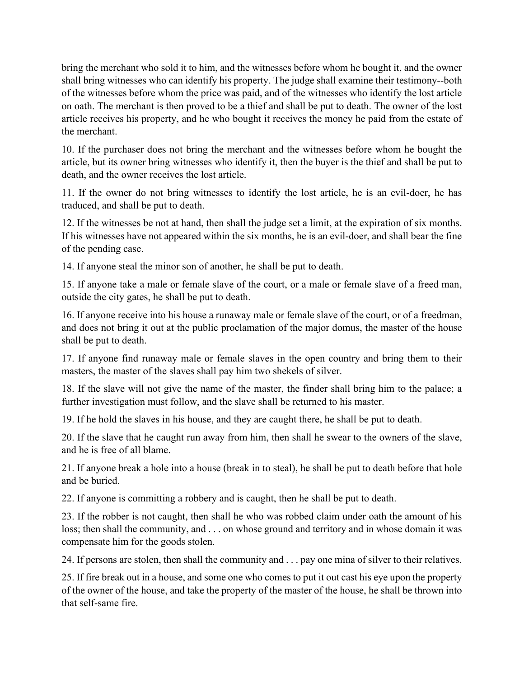bring the merchant who sold it to him, and the witnesses before whom he bought it, and the owner shall bring witnesses who can identify his property. The judge shall examine their testimony--both of the witnesses before whom the price was paid, and of the witnesses who identify the lost article on oath. The merchant is then proved to be a thief and shall be put to death. The owner of the lost article receives his property, and he who bought it receives the money he paid from the estate of the merchant.

10. If the purchaser does not bring the merchant and the witnesses before whom he bought the article, but its owner bring witnesses who identify it, then the buyer is the thief and shall be put to death, and the owner receives the lost article.

11. If the owner do not bring witnesses to identify the lost article, he is an evil-doer, he has traduced, and shall be put to death.

12. If the witnesses be not at hand, then shall the judge set a limit, at the expiration of six months. If his witnesses have not appeared within the six months, he is an evil-doer, and shall bear the fine of the pending case.

14. If anyone steal the minor son of another, he shall be put to death.

15. If anyone take a male or female slave of the court, or a male or female slave of a freed man, outside the city gates, he shall be put to death.

16. If anyone receive into his house a runaway male or female slave of the court, or of a freedman, and does not bring it out at the public proclamation of the major domus, the master of the house shall be put to death.

17. If anyone find runaway male or female slaves in the open country and bring them to their masters, the master of the slaves shall pay him two shekels of silver.

18. If the slave will not give the name of the master, the finder shall bring him to the palace; a further investigation must follow, and the slave shall be returned to his master.

19. If he hold the slaves in his house, and they are caught there, he shall be put to death.

20. If the slave that he caught run away from him, then shall he swear to the owners of the slave, and he is free of all blame.

21. If anyone break a hole into a house (break in to steal), he shall be put to death before that hole and be buried.

22. If anyone is committing a robbery and is caught, then he shall be put to death.

23. If the robber is not caught, then shall he who was robbed claim under oath the amount of his loss; then shall the community, and . . . on whose ground and territory and in whose domain it was compensate him for the goods stolen.

24. If persons are stolen, then shall the community and . . . pay one mina of silver to their relatives.

25. If fire break out in a house, and some one who comes to put it out cast his eye upon the property of the owner of the house, and take the property of the master of the house, he shall be thrown into that self-same fire.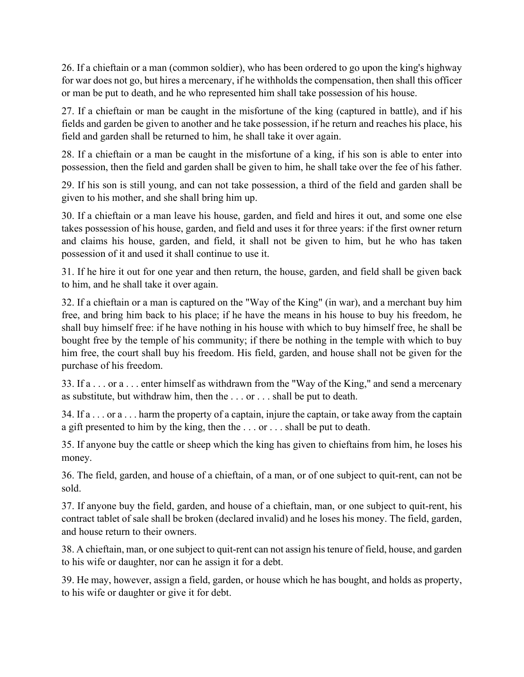26. If a chieftain or a man (common soldier), who has been ordered to go upon the king's highway for war does not go, but hires a mercenary, if he withholds the compensation, then shall this officer or man be put to death, and he who represented him shall take possession of his house.

27. If a chieftain or man be caught in the misfortune of the king (captured in battle), and if his fields and garden be given to another and he take possession, if he return and reaches his place, his field and garden shall be returned to him, he shall take it over again.

28. If a chieftain or a man be caught in the misfortune of a king, if his son is able to enter into possession, then the field and garden shall be given to him, he shall take over the fee of his father.

29. If his son is still young, and can not take possession, a third of the field and garden shall be given to his mother, and she shall bring him up.

30. If a chieftain or a man leave his house, garden, and field and hires it out, and some one else takes possession of his house, garden, and field and uses it for three years: if the first owner return and claims his house, garden, and field, it shall not be given to him, but he who has taken possession of it and used it shall continue to use it.

31. If he hire it out for one year and then return, the house, garden, and field shall be given back to him, and he shall take it over again.

32. If a chieftain or a man is captured on the "Way of the King" (in war), and a merchant buy him free, and bring him back to his place; if he have the means in his house to buy his freedom, he shall buy himself free: if he have nothing in his house with which to buy himself free, he shall be bought free by the temple of his community; if there be nothing in the temple with which to buy him free, the court shall buy his freedom. His field, garden, and house shall not be given for the purchase of his freedom.

33. If a . . . or a . . . enter himself as withdrawn from the "Way of the King," and send a mercenary as substitute, but withdraw him, then the . . . or . . . shall be put to death.

34. If a . . . or a . . . harm the property of a captain, injure the captain, or take away from the captain a gift presented to him by the king, then the . . . or . . . shall be put to death.

35. If anyone buy the cattle or sheep which the king has given to chieftains from him, he loses his money.

36. The field, garden, and house of a chieftain, of a man, or of one subject to quit-rent, can not be sold.

37. If anyone buy the field, garden, and house of a chieftain, man, or one subject to quit-rent, his contract tablet of sale shall be broken (declared invalid) and he loses his money. The field, garden, and house return to their owners.

38. A chieftain, man, or one subject to quit-rent can not assign his tenure of field, house, and garden to his wife or daughter, nor can he assign it for a debt.

39. He may, however, assign a field, garden, or house which he has bought, and holds as property, to his wife or daughter or give it for debt.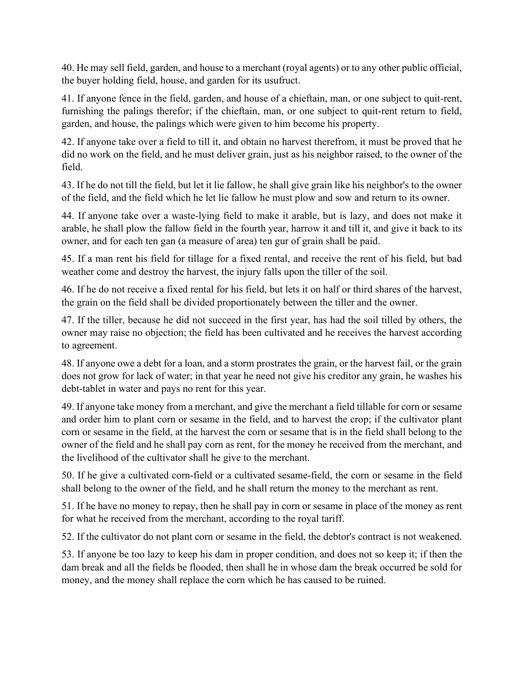40. He may sell field, garden, and house to a merchant (royal agents) or to any other public official, the buyer holding field, house, and garden for its usufruct.

41. If anyone fence in the field, garden, and house of a chieftain, man, or one subject to quit-rent, furnishing the palings therefor; if the chieftain, man, or one subject to quit-rent return to field, garden, and house, the palings which were given to him become his property.

42. If anyone take over a field to till it, and obtain no harvest therefrom, it must be proved that he did no work on the field, and he must deliver grain, just as his neighbor raised, to the owner of the field.

43. If he do not till the field, but let it lie fallow, he shall give grain like his neighbor's to the owner of the field, and the field which he let lie fallow he must plow and sow and return to its owner.

44. If anyone take over a waste-lying field to make it arable, but is lazy, and does not make it arable, he shall plow the fallow field in the fourth year, harrow it and till it, and give it back to its owner, and for each ten gan (a measure of area) ten gur of grain shall be paid.

45. If a man rent his field for tillage for a fixed rental, and receive the rent of his field, but bad weather come and destroy the harvest, the injury falls upon the tiller of the soil.

46. If he do not receive a fixed rental for his field, but lets it on half or third shares of the harvest, the grain on the field shall be divided proportionately between the tiller and the owner.

47. If the tiller, because he did not succeed in the first year, has had the soil tilled by others, the owner may raise no objection; the field has been cultivated and he receives the harvest according to agreement.

48. If anyone owe a debt for a loan, and a storm prostrates the grain, or the harvest fail, or the grain does not grow for lack of water; in that year he need not give his creditor any grain, he washes his debt-tablet in water and pays no rent for this year.

49. If anyone take money from a merchant, and give the merchant a field tillable for corn or sesame and order him to plant corn or sesame in the field, and to harvest the crop; if the cultivator plant corn or sesame in the field, at the harvest the corn or sesame that is in the field shall belong to the owner of the field and he shall pay corn as rent, for the money he received from the merchant, and the livelihood of the cultivator shall he give to the merchant.

50. If he give a cultivated corn-field or a cultivated sesame-field, the corn or sesame in the field shall belong to the owner of the field, and he shall return the money to the merchant as rent.

51. If he have no money to repay, then he shall pay in corn or sesame in place of the money as rent for what he received from the merchant, according to the royal tariff.

52. If the cultivator do not plant corn or sesame in the field, the debtor's contract is not weakened.

53. If anyone be too lazy to keep his dam in proper condition, and does not so keep it; if then the dam break and all the fields be flooded, then shall he in whose dam the break occurred be sold for money, and the money shall replace the corn which he has caused to be ruined.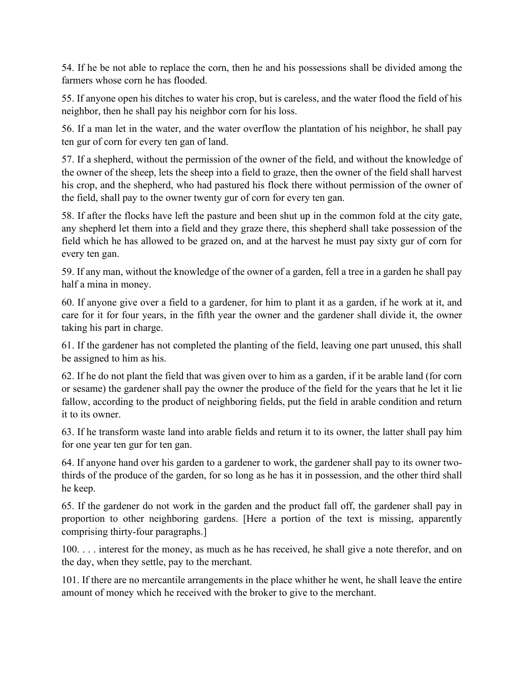54. If he be not able to replace the corn, then he and his possessions shall be divided among the farmers whose corn he has flooded.

55. If anyone open his ditches to water his crop, but is careless, and the water flood the field of his neighbor, then he shall pay his neighbor corn for his loss.

56. If a man let in the water, and the water overflow the plantation of his neighbor, he shall pay ten gur of corn for every ten gan of land.

57. If a shepherd, without the permission of the owner of the field, and without the knowledge of the owner of the sheep, lets the sheep into a field to graze, then the owner of the field shall harvest his crop, and the shepherd, who had pastured his flock there without permission of the owner of the field, shall pay to the owner twenty gur of corn for every ten gan.

58. If after the flocks have left the pasture and been shut up in the common fold at the city gate, any shepherd let them into a field and they graze there, this shepherd shall take possession of the field which he has allowed to be grazed on, and at the harvest he must pay sixty gur of corn for every ten gan.

59. If any man, without the knowledge of the owner of a garden, fell a tree in a garden he shall pay half a mina in money.

60. If anyone give over a field to a gardener, for him to plant it as a garden, if he work at it, and care for it for four years, in the fifth year the owner and the gardener shall divide it, the owner taking his part in charge.

61. If the gardener has not completed the planting of the field, leaving one part unused, this shall be assigned to him as his.

62. If he do not plant the field that was given over to him as a garden, if it be arable land (for corn or sesame) the gardener shall pay the owner the produce of the field for the years that he let it lie fallow, according to the product of neighboring fields, put the field in arable condition and return it to its owner.

63. If he transform waste land into arable fields and return it to its owner, the latter shall pay him for one year ten gur for ten gan.

64. If anyone hand over his garden to a gardener to work, the gardener shall pay to its owner twothirds of the produce of the garden, for so long as he has it in possession, and the other third shall he keep.

65. If the gardener do not work in the garden and the product fall off, the gardener shall pay in proportion to other neighboring gardens. [Here a portion of the text is missing, apparently comprising thirty-four paragraphs.]

100. . . . interest for the money, as much as he has received, he shall give a note therefor, and on the day, when they settle, pay to the merchant.

101. If there are no mercantile arrangements in the place whither he went, he shall leave the entire amount of money which he received with the broker to give to the merchant.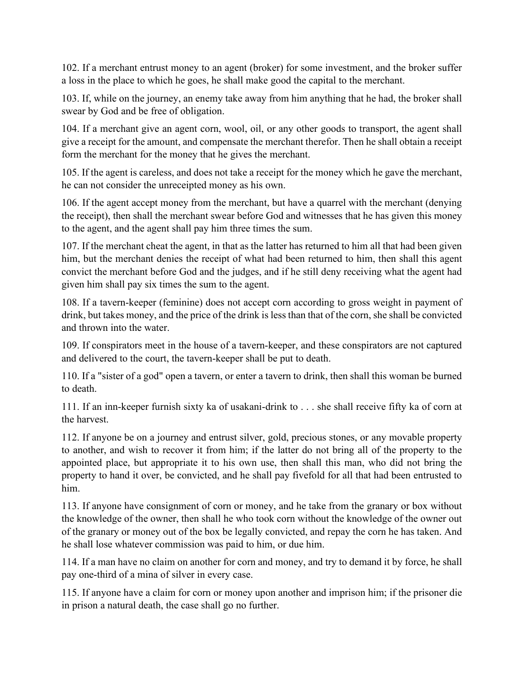102. If a merchant entrust money to an agent (broker) for some investment, and the broker suffer a loss in the place to which he goes, he shall make good the capital to the merchant.

103. If, while on the journey, an enemy take away from him anything that he had, the broker shall swear by God and be free of obligation.

104. If a merchant give an agent corn, wool, oil, or any other goods to transport, the agent shall give a receipt for the amount, and compensate the merchant therefor. Then he shall obtain a receipt form the merchant for the money that he gives the merchant.

105. If the agent is careless, and does not take a receipt for the money which he gave the merchant, he can not consider the unreceipted money as his own.

106. If the agent accept money from the merchant, but have a quarrel with the merchant (denying the receipt), then shall the merchant swear before God and witnesses that he has given this money to the agent, and the agent shall pay him three times the sum.

107. If the merchant cheat the agent, in that as the latter has returned to him all that had been given him, but the merchant denies the receipt of what had been returned to him, then shall this agent convict the merchant before God and the judges, and if he still deny receiving what the agent had given him shall pay six times the sum to the agent.

108. If a tavern-keeper (feminine) does not accept corn according to gross weight in payment of drink, but takes money, and the price of the drink is less than that of the corn, she shall be convicted and thrown into the water.

109. If conspirators meet in the house of a tavern-keeper, and these conspirators are not captured and delivered to the court, the tavern-keeper shall be put to death.

110. If a "sister of a god" open a tavern, or enter a tavern to drink, then shall this woman be burned to death.

111. If an inn-keeper furnish sixty ka of usakani-drink to . . . she shall receive fifty ka of corn at the harvest.

112. If anyone be on a journey and entrust silver, gold, precious stones, or any movable property to another, and wish to recover it from him; if the latter do not bring all of the property to the appointed place, but appropriate it to his own use, then shall this man, who did not bring the property to hand it over, be convicted, and he shall pay fivefold for all that had been entrusted to him.

113. If anyone have consignment of corn or money, and he take from the granary or box without the knowledge of the owner, then shall he who took corn without the knowledge of the owner out of the granary or money out of the box be legally convicted, and repay the corn he has taken. And he shall lose whatever commission was paid to him, or due him.

114. If a man have no claim on another for corn and money, and try to demand it by force, he shall pay one-third of a mina of silver in every case.

115. If anyone have a claim for corn or money upon another and imprison him; if the prisoner die in prison a natural death, the case shall go no further.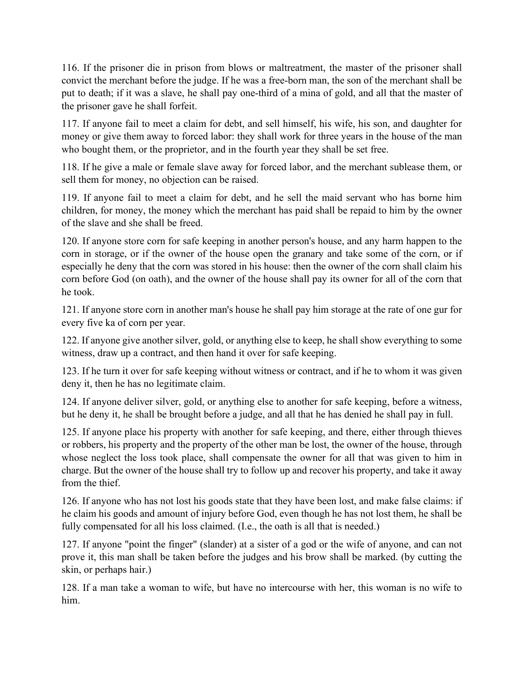116. If the prisoner die in prison from blows or maltreatment, the master of the prisoner shall convict the merchant before the judge. If he was a free-born man, the son of the merchant shall be put to death; if it was a slave, he shall pay one-third of a mina of gold, and all that the master of the prisoner gave he shall forfeit.

117. If anyone fail to meet a claim for debt, and sell himself, his wife, his son, and daughter for money or give them away to forced labor: they shall work for three years in the house of the man who bought them, or the proprietor, and in the fourth year they shall be set free.

118. If he give a male or female slave away for forced labor, and the merchant sublease them, or sell them for money, no objection can be raised.

119. If anyone fail to meet a claim for debt, and he sell the maid servant who has borne him children, for money, the money which the merchant has paid shall be repaid to him by the owner of the slave and she shall be freed.

120. If anyone store corn for safe keeping in another person's house, and any harm happen to the corn in storage, or if the owner of the house open the granary and take some of the corn, or if especially he deny that the corn was stored in his house: then the owner of the corn shall claim his corn before God (on oath), and the owner of the house shall pay its owner for all of the corn that he took.

121. If anyone store corn in another man's house he shall pay him storage at the rate of one gur for every five ka of corn per year.

122. If anyone give another silver, gold, or anything else to keep, he shall show everything to some witness, draw up a contract, and then hand it over for safe keeping.

123. If he turn it over for safe keeping without witness or contract, and if he to whom it was given deny it, then he has no legitimate claim.

124. If anyone deliver silver, gold, or anything else to another for safe keeping, before a witness, but he deny it, he shall be brought before a judge, and all that he has denied he shall pay in full.

125. If anyone place his property with another for safe keeping, and there, either through thieves or robbers, his property and the property of the other man be lost, the owner of the house, through whose neglect the loss took place, shall compensate the owner for all that was given to him in charge. But the owner of the house shall try to follow up and recover his property, and take it away from the thief.

126. If anyone who has not lost his goods state that they have been lost, and make false claims: if he claim his goods and amount of injury before God, even though he has not lost them, he shall be fully compensated for all his loss claimed. (I.e., the oath is all that is needed.)

127. If anyone "point the finger" (slander) at a sister of a god or the wife of anyone, and can not prove it, this man shall be taken before the judges and his brow shall be marked. (by cutting the skin, or perhaps hair.)

128. If a man take a woman to wife, but have no intercourse with her, this woman is no wife to him.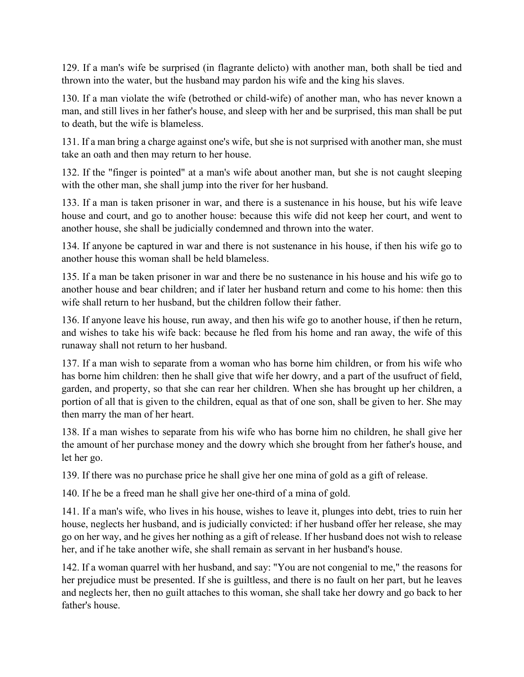129. If a man's wife be surprised (in flagrante delicto) with another man, both shall be tied and thrown into the water, but the husband may pardon his wife and the king his slaves.

130. If a man violate the wife (betrothed or child-wife) of another man, who has never known a man, and still lives in her father's house, and sleep with her and be surprised, this man shall be put to death, but the wife is blameless.

131. If a man bring a charge against one's wife, but she is not surprised with another man, she must take an oath and then may return to her house.

132. If the "finger is pointed" at a man's wife about another man, but she is not caught sleeping with the other man, she shall jump into the river for her husband.

133. If a man is taken prisoner in war, and there is a sustenance in his house, but his wife leave house and court, and go to another house: because this wife did not keep her court, and went to another house, she shall be judicially condemned and thrown into the water.

134. If anyone be captured in war and there is not sustenance in his house, if then his wife go to another house this woman shall be held blameless.

135. If a man be taken prisoner in war and there be no sustenance in his house and his wife go to another house and bear children; and if later her husband return and come to his home: then this wife shall return to her husband, but the children follow their father.

136. If anyone leave his house, run away, and then his wife go to another house, if then he return, and wishes to take his wife back: because he fled from his home and ran away, the wife of this runaway shall not return to her husband.

137. If a man wish to separate from a woman who has borne him children, or from his wife who has borne him children: then he shall give that wife her dowry, and a part of the usufruct of field, garden, and property, so that she can rear her children. When she has brought up her children, a portion of all that is given to the children, equal as that of one son, shall be given to her. She may then marry the man of her heart.

138. If a man wishes to separate from his wife who has borne him no children, he shall give her the amount of her purchase money and the dowry which she brought from her father's house, and let her go.

139. If there was no purchase price he shall give her one mina of gold as a gift of release.

140. If he be a freed man he shall give her one-third of a mina of gold.

141. If a man's wife, who lives in his house, wishes to leave it, plunges into debt, tries to ruin her house, neglects her husband, and is judicially convicted: if her husband offer her release, she may go on her way, and he gives her nothing as a gift of release. If her husband does not wish to release her, and if he take another wife, she shall remain as servant in her husband's house.

142. If a woman quarrel with her husband, and say: "You are not congenial to me," the reasons for her prejudice must be presented. If she is guiltless, and there is no fault on her part, but he leaves and neglects her, then no guilt attaches to this woman, she shall take her dowry and go back to her father's house.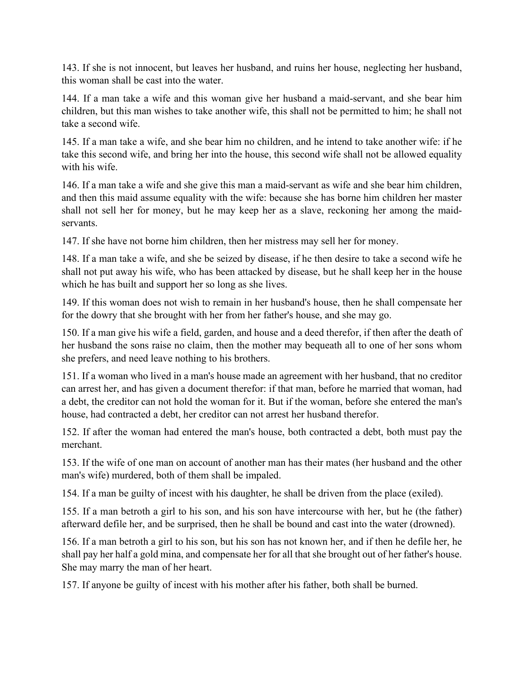143. If she is not innocent, but leaves her husband, and ruins her house, neglecting her husband, this woman shall be cast into the water.

144. If a man take a wife and this woman give her husband a maid-servant, and she bear him children, but this man wishes to take another wife, this shall not be permitted to him; he shall not take a second wife.

145. If a man take a wife, and she bear him no children, and he intend to take another wife: if he take this second wife, and bring her into the house, this second wife shall not be allowed equality with his wife.

146. If a man take a wife and she give this man a maid-servant as wife and she bear him children, and then this maid assume equality with the wife: because she has borne him children her master shall not sell her for money, but he may keep her as a slave, reckoning her among the maidservants.

147. If she have not borne him children, then her mistress may sell her for money.

148. If a man take a wife, and she be seized by disease, if he then desire to take a second wife he shall not put away his wife, who has been attacked by disease, but he shall keep her in the house which he has built and support her so long as she lives.

149. If this woman does not wish to remain in her husband's house, then he shall compensate her for the dowry that she brought with her from her father's house, and she may go.

150. If a man give his wife a field, garden, and house and a deed therefor, if then after the death of her husband the sons raise no claim, then the mother may bequeath all to one of her sons whom she prefers, and need leave nothing to his brothers.

151. If a woman who lived in a man's house made an agreement with her husband, that no creditor can arrest her, and has given a document therefor: if that man, before he married that woman, had a debt, the creditor can not hold the woman for it. But if the woman, before she entered the man's house, had contracted a debt, her creditor can not arrest her husband therefor.

152. If after the woman had entered the man's house, both contracted a debt, both must pay the merchant.

153. If the wife of one man on account of another man has their mates (her husband and the other man's wife) murdered, both of them shall be impaled.

154. If a man be guilty of incest with his daughter, he shall be driven from the place (exiled).

155. If a man betroth a girl to his son, and his son have intercourse with her, but he (the father) afterward defile her, and be surprised, then he shall be bound and cast into the water (drowned).

156. If a man betroth a girl to his son, but his son has not known her, and if then he defile her, he shall pay her half a gold mina, and compensate her for all that she brought out of her father's house. She may marry the man of her heart.

157. If anyone be guilty of incest with his mother after his father, both shall be burned.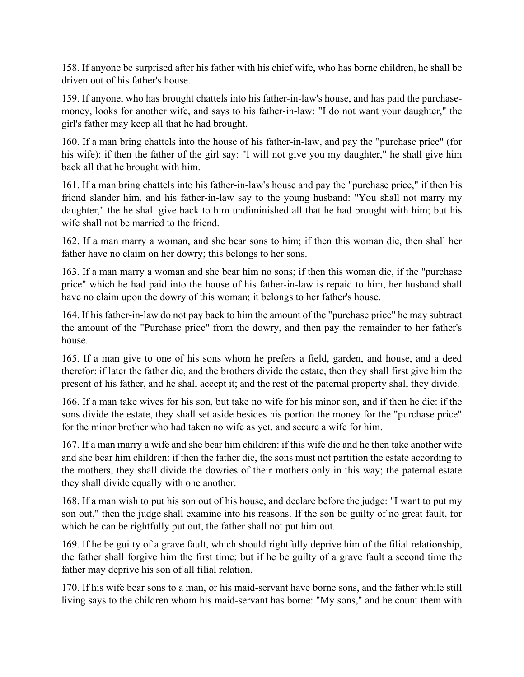158. If anyone be surprised after his father with his chief wife, who has borne children, he shall be driven out of his father's house.

159. If anyone, who has brought chattels into his father-in-law's house, and has paid the purchasemoney, looks for another wife, and says to his father-in-law: "I do not want your daughter," the girl's father may keep all that he had brought.

160. If a man bring chattels into the house of his father-in-law, and pay the "purchase price" (for his wife): if then the father of the girl say: "I will not give you my daughter," he shall give him back all that he brought with him.

161. If a man bring chattels into his father-in-law's house and pay the "purchase price," if then his friend slander him, and his father-in-law say to the young husband: "You shall not marry my daughter," the he shall give back to him undiminished all that he had brought with him; but his wife shall not be married to the friend.

162. If a man marry a woman, and she bear sons to him; if then this woman die, then shall her father have no claim on her dowry; this belongs to her sons.

163. If a man marry a woman and she bear him no sons; if then this woman die, if the "purchase price" which he had paid into the house of his father-in-law is repaid to him, her husband shall have no claim upon the dowry of this woman; it belongs to her father's house.

164. If his father-in-law do not pay back to him the amount of the "purchase price" he may subtract the amount of the "Purchase price" from the dowry, and then pay the remainder to her father's house.

165. If a man give to one of his sons whom he prefers a field, garden, and house, and a deed therefor: if later the father die, and the brothers divide the estate, then they shall first give him the present of his father, and he shall accept it; and the rest of the paternal property shall they divide.

166. If a man take wives for his son, but take no wife for his minor son, and if then he die: if the sons divide the estate, they shall set aside besides his portion the money for the "purchase price" for the minor brother who had taken no wife as yet, and secure a wife for him.

167. If a man marry a wife and she bear him children: if this wife die and he then take another wife and she bear him children: if then the father die, the sons must not partition the estate according to the mothers, they shall divide the dowries of their mothers only in this way; the paternal estate they shall divide equally with one another.

168. If a man wish to put his son out of his house, and declare before the judge: "I want to put my son out," then the judge shall examine into his reasons. If the son be guilty of no great fault, for which he can be rightfully put out, the father shall not put him out.

169. If he be guilty of a grave fault, which should rightfully deprive him of the filial relationship, the father shall forgive him the first time; but if he be guilty of a grave fault a second time the father may deprive his son of all filial relation.

170. If his wife bear sons to a man, or his maid-servant have borne sons, and the father while still living says to the children whom his maid-servant has borne: "My sons," and he count them with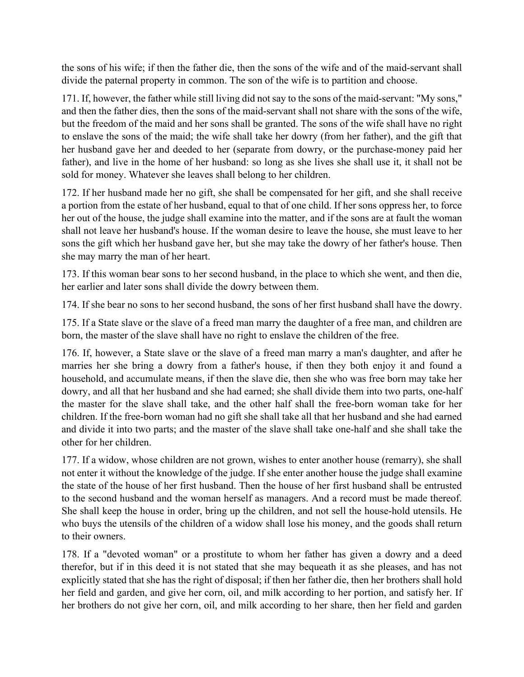the sons of his wife; if then the father die, then the sons of the wife and of the maid-servant shall divide the paternal property in common. The son of the wife is to partition and choose.

171. If, however, the father while still living did not say to the sons of the maid-servant: "My sons," and then the father dies, then the sons of the maid-servant shall not share with the sons of the wife, but the freedom of the maid and her sons shall be granted. The sons of the wife shall have no right to enslave the sons of the maid; the wife shall take her dowry (from her father), and the gift that her husband gave her and deeded to her (separate from dowry, or the purchase-money paid her father), and live in the home of her husband: so long as she lives she shall use it, it shall not be sold for money. Whatever she leaves shall belong to her children.

172. If her husband made her no gift, she shall be compensated for her gift, and she shall receive a portion from the estate of her husband, equal to that of one child. If her sons oppress her, to force her out of the house, the judge shall examine into the matter, and if the sons are at fault the woman shall not leave her husband's house. If the woman desire to leave the house, she must leave to her sons the gift which her husband gave her, but she may take the dowry of her father's house. Then she may marry the man of her heart.

173. If this woman bear sons to her second husband, in the place to which she went, and then die, her earlier and later sons shall divide the dowry between them.

174. If she bear no sons to her second husband, the sons of her first husband shall have the dowry.

175. If a State slave or the slave of a freed man marry the daughter of a free man, and children are born, the master of the slave shall have no right to enslave the children of the free.

176. If, however, a State slave or the slave of a freed man marry a man's daughter, and after he marries her she bring a dowry from a father's house, if then they both enjoy it and found a household, and accumulate means, if then the slave die, then she who was free born may take her dowry, and all that her husband and she had earned; she shall divide them into two parts, one-half the master for the slave shall take, and the other half shall the free-born woman take for her children. If the free-born woman had no gift she shall take all that her husband and she had earned and divide it into two parts; and the master of the slave shall take one-half and she shall take the other for her children.

177. If a widow, whose children are not grown, wishes to enter another house (remarry), she shall not enter it without the knowledge of the judge. If she enter another house the judge shall examine the state of the house of her first husband. Then the house of her first husband shall be entrusted to the second husband and the woman herself as managers. And a record must be made thereof. She shall keep the house in order, bring up the children, and not sell the house-hold utensils. He who buys the utensils of the children of a widow shall lose his money, and the goods shall return to their owners.

178. If a "devoted woman" or a prostitute to whom her father has given a dowry and a deed therefor, but if in this deed it is not stated that she may bequeath it as she pleases, and has not explicitly stated that she has the right of disposal; if then her father die, then her brothers shall hold her field and garden, and give her corn, oil, and milk according to her portion, and satisfy her. If her brothers do not give her corn, oil, and milk according to her share, then her field and garden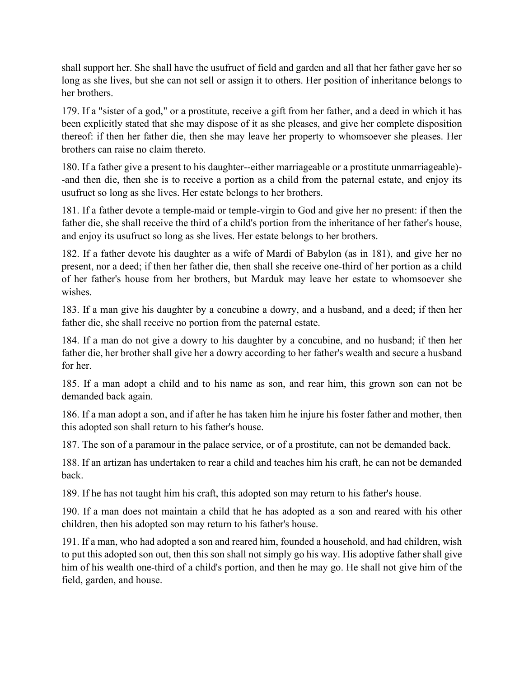shall support her. She shall have the usufruct of field and garden and all that her father gave her so long as she lives, but she can not sell or assign it to others. Her position of inheritance belongs to her brothers.

179. If a "sister of a god," or a prostitute, receive a gift from her father, and a deed in which it has been explicitly stated that she may dispose of it as she pleases, and give her complete disposition thereof: if then her father die, then she may leave her property to whomsoever she pleases. Her brothers can raise no claim thereto.

180. If a father give a present to his daughter--either marriageable or a prostitute unmarriageable)- -and then die, then she is to receive a portion as a child from the paternal estate, and enjoy its usufruct so long as she lives. Her estate belongs to her brothers.

181. If a father devote a temple-maid or temple-virgin to God and give her no present: if then the father die, she shall receive the third of a child's portion from the inheritance of her father's house, and enjoy its usufruct so long as she lives. Her estate belongs to her brothers.

182. If a father devote his daughter as a wife of Mardi of Babylon (as in 181), and give her no present, nor a deed; if then her father die, then shall she receive one-third of her portion as a child of her father's house from her brothers, but Marduk may leave her estate to whomsoever she wishes.

183. If a man give his daughter by a concubine a dowry, and a husband, and a deed; if then her father die, she shall receive no portion from the paternal estate.

184. If a man do not give a dowry to his daughter by a concubine, and no husband; if then her father die, her brother shall give her a dowry according to her father's wealth and secure a husband for her.

185. If a man adopt a child and to his name as son, and rear him, this grown son can not be demanded back again.

186. If a man adopt a son, and if after he has taken him he injure his foster father and mother, then this adopted son shall return to his father's house.

187. The son of a paramour in the palace service, or of a prostitute, can not be demanded back.

188. If an artizan has undertaken to rear a child and teaches him his craft, he can not be demanded back.

189. If he has not taught him his craft, this adopted son may return to his father's house.

190. If a man does not maintain a child that he has adopted as a son and reared with his other children, then his adopted son may return to his father's house.

191. If a man, who had adopted a son and reared him, founded a household, and had children, wish to put this adopted son out, then this son shall not simply go his way. His adoptive father shall give him of his wealth one-third of a child's portion, and then he may go. He shall not give him of the field, garden, and house.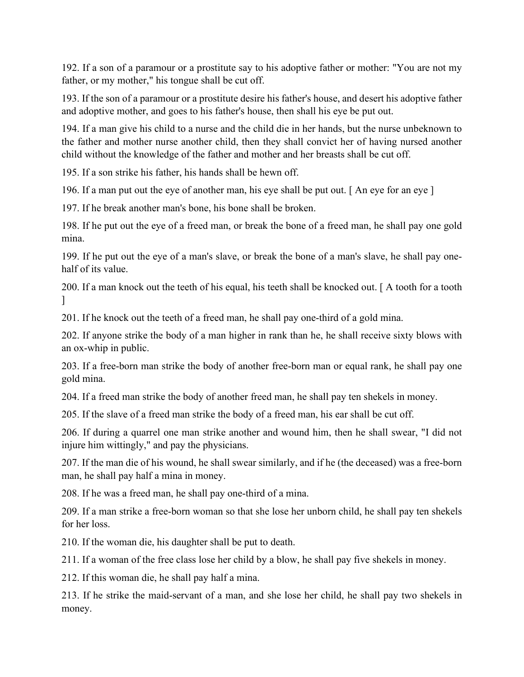192. If a son of a paramour or a prostitute say to his adoptive father or mother: "You are not my father, or my mother," his tongue shall be cut off.

193. If the son of a paramour or a prostitute desire his father's house, and desert his adoptive father and adoptive mother, and goes to his father's house, then shall his eye be put out.

194. If a man give his child to a nurse and the child die in her hands, but the nurse unbeknown to the father and mother nurse another child, then they shall convict her of having nursed another child without the knowledge of the father and mother and her breasts shall be cut off.

195. If a son strike his father, his hands shall be hewn off.

196. If a man put out the eye of another man, his eye shall be put out. [ An eye for an eye ]

197. If he break another man's bone, his bone shall be broken.

198. If he put out the eye of a freed man, or break the bone of a freed man, he shall pay one gold mina.

199. If he put out the eye of a man's slave, or break the bone of a man's slave, he shall pay onehalf of its value.

200. If a man knock out the teeth of his equal, his teeth shall be knocked out. [ A tooth for a tooth  $\mathbf{1}$ 

201. If he knock out the teeth of a freed man, he shall pay one-third of a gold mina.

202. If anyone strike the body of a man higher in rank than he, he shall receive sixty blows with an ox-whip in public.

203. If a free-born man strike the body of another free-born man or equal rank, he shall pay one gold mina.

204. If a freed man strike the body of another freed man, he shall pay ten shekels in money.

205. If the slave of a freed man strike the body of a freed man, his ear shall be cut off.

206. If during a quarrel one man strike another and wound him, then he shall swear, "I did not injure him wittingly," and pay the physicians.

207. If the man die of his wound, he shall swear similarly, and if he (the deceased) was a free-born man, he shall pay half a mina in money.

208. If he was a freed man, he shall pay one-third of a mina.

209. If a man strike a free-born woman so that she lose her unborn child, he shall pay ten shekels for her loss.

210. If the woman die, his daughter shall be put to death.

211. If a woman of the free class lose her child by a blow, he shall pay five shekels in money.

212. If this woman die, he shall pay half a mina.

213. If he strike the maid-servant of a man, and she lose her child, he shall pay two shekels in money.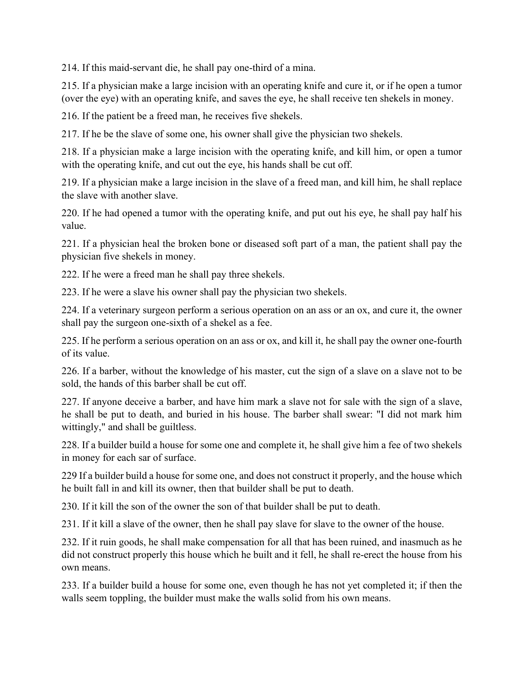214. If this maid-servant die, he shall pay one-third of a mina.

215. If a physician make a large incision with an operating knife and cure it, or if he open a tumor (over the eye) with an operating knife, and saves the eye, he shall receive ten shekels in money.

216. If the patient be a freed man, he receives five shekels.

217. If he be the slave of some one, his owner shall give the physician two shekels.

218. If a physician make a large incision with the operating knife, and kill him, or open a tumor with the operating knife, and cut out the eye, his hands shall be cut off.

219. If a physician make a large incision in the slave of a freed man, and kill him, he shall replace the slave with another slave.

220. If he had opened a tumor with the operating knife, and put out his eye, he shall pay half his value.

221. If a physician heal the broken bone or diseased soft part of a man, the patient shall pay the physician five shekels in money.

222. If he were a freed man he shall pay three shekels.

223. If he were a slave his owner shall pay the physician two shekels.

224. If a veterinary surgeon perform a serious operation on an ass or an ox, and cure it, the owner shall pay the surgeon one-sixth of a shekel as a fee.

225. If he perform a serious operation on an ass or ox, and kill it, he shall pay the owner one-fourth of its value.

226. If a barber, without the knowledge of his master, cut the sign of a slave on a slave not to be sold, the hands of this barber shall be cut off.

227. If anyone deceive a barber, and have him mark a slave not for sale with the sign of a slave, he shall be put to death, and buried in his house. The barber shall swear: "I did not mark him wittingly," and shall be guiltless.

228. If a builder build a house for some one and complete it, he shall give him a fee of two shekels in money for each sar of surface.

229 If a builder build a house for some one, and does not construct it properly, and the house which he built fall in and kill its owner, then that builder shall be put to death.

230. If it kill the son of the owner the son of that builder shall be put to death.

231. If it kill a slave of the owner, then he shall pay slave for slave to the owner of the house.

232. If it ruin goods, he shall make compensation for all that has been ruined, and inasmuch as he did not construct properly this house which he built and it fell, he shall re-erect the house from his own means.

233. If a builder build a house for some one, even though he has not yet completed it; if then the walls seem toppling, the builder must make the walls solid from his own means.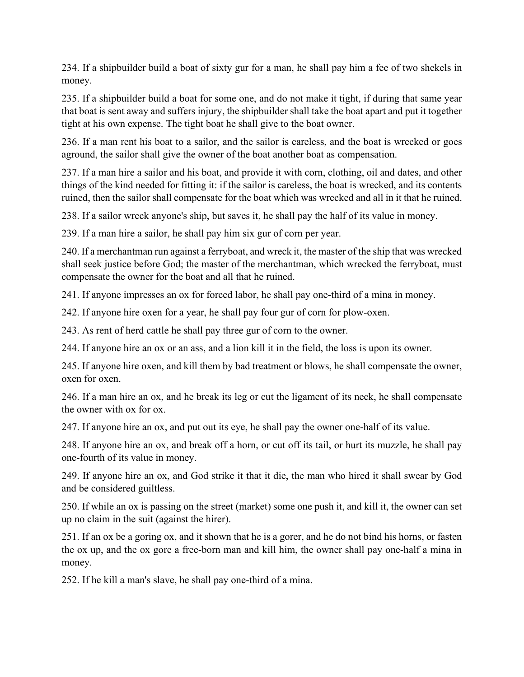234. If a shipbuilder build a boat of sixty gur for a man, he shall pay him a fee of two shekels in money.

235. If a shipbuilder build a boat for some one, and do not make it tight, if during that same year that boat is sent away and suffers injury, the shipbuilder shall take the boat apart and put it together tight at his own expense. The tight boat he shall give to the boat owner.

236. If a man rent his boat to a sailor, and the sailor is careless, and the boat is wrecked or goes aground, the sailor shall give the owner of the boat another boat as compensation.

237. If a man hire a sailor and his boat, and provide it with corn, clothing, oil and dates, and other things of the kind needed for fitting it: if the sailor is careless, the boat is wrecked, and its contents ruined, then the sailor shall compensate for the boat which was wrecked and all in it that he ruined.

238. If a sailor wreck anyone's ship, but saves it, he shall pay the half of its value in money.

239. If a man hire a sailor, he shall pay him six gur of corn per year.

240. If a merchantman run against a ferryboat, and wreck it, the master of the ship that was wrecked shall seek justice before God; the master of the merchantman, which wrecked the ferryboat, must compensate the owner for the boat and all that he ruined.

241. If anyone impresses an ox for forced labor, he shall pay one-third of a mina in money.

242. If anyone hire oxen for a year, he shall pay four gur of corn for plow-oxen.

243. As rent of herd cattle he shall pay three gur of corn to the owner.

244. If anyone hire an ox or an ass, and a lion kill it in the field, the loss is upon its owner.

245. If anyone hire oxen, and kill them by bad treatment or blows, he shall compensate the owner, oxen for oxen.

246. If a man hire an ox, and he break its leg or cut the ligament of its neck, he shall compensate the owner with ox for ox.

247. If anyone hire an ox, and put out its eye, he shall pay the owner one-half of its value.

248. If anyone hire an ox, and break off a horn, or cut off its tail, or hurt its muzzle, he shall pay one-fourth of its value in money.

249. If anyone hire an ox, and God strike it that it die, the man who hired it shall swear by God and be considered guiltless.

250. If while an ox is passing on the street (market) some one push it, and kill it, the owner can set up no claim in the suit (against the hirer).

251. If an ox be a goring ox, and it shown that he is a gorer, and he do not bind his horns, or fasten the ox up, and the ox gore a free-born man and kill him, the owner shall pay one-half a mina in money.

252. If he kill a man's slave, he shall pay one-third of a mina.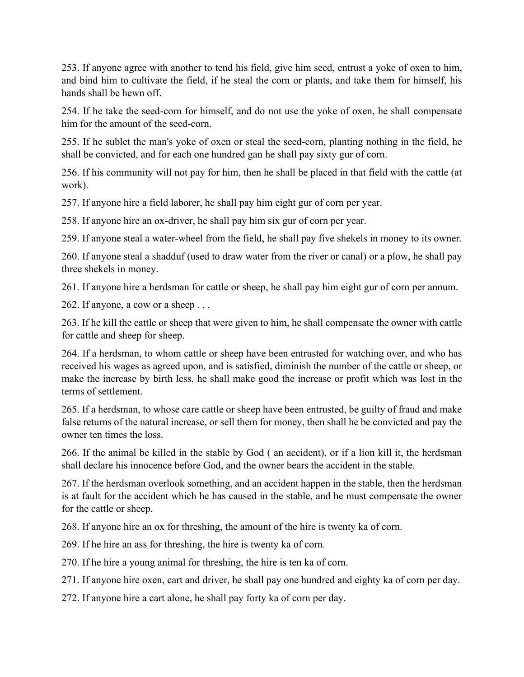253. If anyone agree with another to tend his field, give him seed, entrust a yoke of oxen to him, and bind him to cultivate the field, if he steal the corn or plants, and take them for himself, his hands shall be hewn off.

254. If he take the seed-corn for himself, and do not use the yoke of oxen, he shall compensate him for the amount of the seed-corn.

255. If he sublet the man's yoke of oxen or steal the seed-corn, planting nothing in the field, he shall be convicted, and for each one hundred gan he shall pay sixty gur of corn.

256. If his community will not pay for him, then he shall be placed in that field with the cattle (at work).

257. If anyone hire a field laborer, he shall pay him eight gur of corn per year.

258. If anyone hire an ox-driver, he shall pay him six gur of corn per year.

259. If anyone steal a water-wheel from the field, he shall pay five shekels in money to its owner.

260. If anyone steal a shadduf (used to draw water from the river or canal) or a plow, he shall pay three shekels in money.

261. If anyone hire a herdsman for cattle or sheep, he shall pay him eight gur of corn per annum.

262. If anyone, a cow or a sheep . . .

263. If he kill the cattle or sheep that were given to him, he shall compensate the owner with cattle for cattle and sheep for sheep.

264. If a herdsman, to whom cattle or sheep have been entrusted for watching over, and who has received his wages as agreed upon, and is satisfied, diminish the number of the cattle or sheep, or make the increase by birth less, he shall make good the increase or profit which was lost in the terms of settlement.

265. If a herdsman, to whose care cattle or sheep have been entrusted, be guilty of fraud and make false returns of the natural increase, or sell them for money, then shall he be convicted and pay the owner ten times the loss.

266. If the animal be killed in the stable by God ( an accident), or if a lion kill it, the herdsman shall declare his innocence before God, and the owner bears the accident in the stable.

267. If the herdsman overlook something, and an accident happen in the stable, then the herdsman is at fault for the accident which he has caused in the stable, and he must compensate the owner for the cattle or sheep.

268. If anyone hire an ox for threshing, the amount of the hire is twenty ka of corn.

269. If he hire an ass for threshing, the hire is twenty ka of corn.

270. If he hire a young animal for threshing, the hire is ten ka of corn.

271. If anyone hire oxen, cart and driver, he shall pay one hundred and eighty ka of corn per day.

272. If anyone hire a cart alone, he shall pay forty ka of corn per day.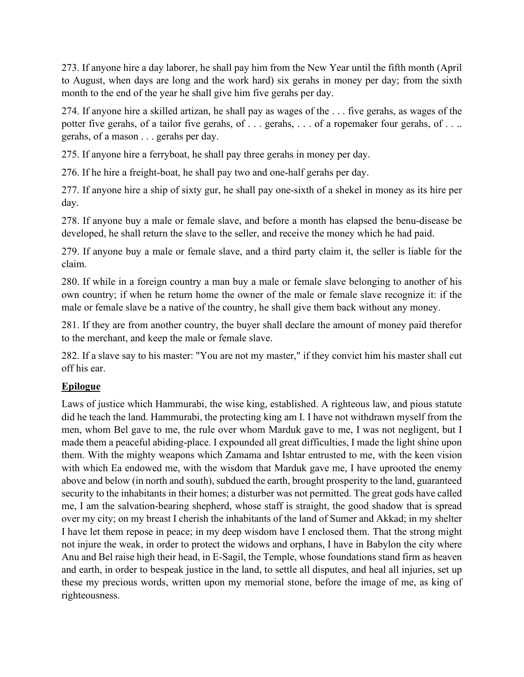273. If anyone hire a day laborer, he shall pay him from the New Year until the fifth month (April to August, when days are long and the work hard) six gerahs in money per day; from the sixth month to the end of the year he shall give him five gerahs per day.

274. If anyone hire a skilled artizan, he shall pay as wages of the . . . five gerahs, as wages of the potter five gerahs, of a tailor five gerahs, of . . . gerahs, . . . of a ropemaker four gerahs, of . . .. gerahs, of a mason . . . gerahs per day.

275. If anyone hire a ferryboat, he shall pay three gerahs in money per day.

276. If he hire a freight-boat, he shall pay two and one-half gerahs per day.

277. If anyone hire a ship of sixty gur, he shall pay one-sixth of a shekel in money as its hire per day.

278. If anyone buy a male or female slave, and before a month has elapsed the benu-disease be developed, he shall return the slave to the seller, and receive the money which he had paid.

279. If anyone buy a male or female slave, and a third party claim it, the seller is liable for the claim.

280. If while in a foreign country a man buy a male or female slave belonging to another of his own country; if when he return home the owner of the male or female slave recognize it: if the male or female slave be a native of the country, he shall give them back without any money.

281. If they are from another country, the buyer shall declare the amount of money paid therefor to the merchant, and keep the male or female slave.

282. If a slave say to his master: "You are not my master," if they convict him his master shall cut off his ear.

## **Epilogue**

Laws of justice which Hammurabi, the wise king, established. A righteous law, and pious statute did he teach the land. Hammurabi, the protecting king am I. I have not withdrawn myself from the men, whom Bel gave to me, the rule over whom Marduk gave to me, I was not negligent, but I made them a peaceful abiding-place. I expounded all great difficulties, I made the light shine upon them. With the mighty weapons which Zamama and Ishtar entrusted to me, with the keen vision with which Ea endowed me, with the wisdom that Marduk gave me, I have uprooted the enemy above and below (in north and south), subdued the earth, brought prosperity to the land, guaranteed security to the inhabitants in their homes; a disturber was not permitted. The great gods have called me, I am the salvation-bearing shepherd, whose staff is straight, the good shadow that is spread over my city; on my breast I cherish the inhabitants of the land of Sumer and Akkad; in my shelter I have let them repose in peace; in my deep wisdom have I enclosed them. That the strong might not injure the weak, in order to protect the widows and orphans, I have in Babylon the city where Anu and Bel raise high their head, in E-Sagil, the Temple, whose foundations stand firm as heaven and earth, in order to bespeak justice in the land, to settle all disputes, and heal all injuries, set up these my precious words, written upon my memorial stone, before the image of me, as king of righteousness.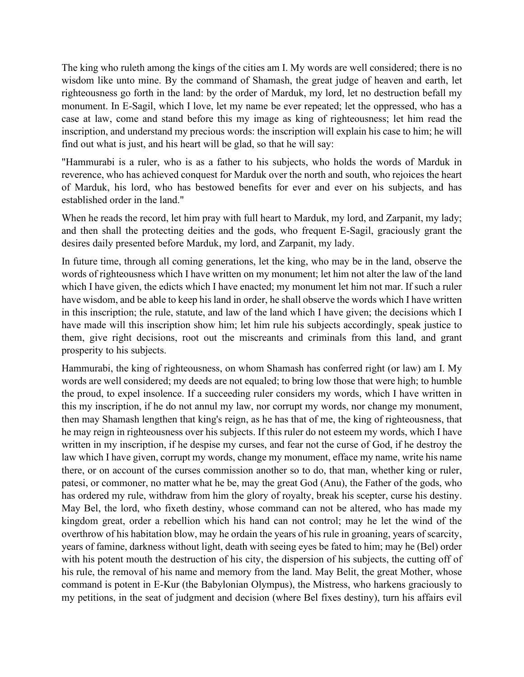The king who ruleth among the kings of the cities am I. My words are well considered; there is no wisdom like unto mine. By the command of Shamash, the great judge of heaven and earth, let righteousness go forth in the land: by the order of Marduk, my lord, let no destruction befall my monument. In E-Sagil, which I love, let my name be ever repeated; let the oppressed, who has a case at law, come and stand before this my image as king of righteousness; let him read the inscription, and understand my precious words: the inscription will explain his case to him; he will find out what is just, and his heart will be glad, so that he will say:

"Hammurabi is a ruler, who is as a father to his subjects, who holds the words of Marduk in reverence, who has achieved conquest for Marduk over the north and south, who rejoices the heart of Marduk, his lord, who has bestowed benefits for ever and ever on his subjects, and has established order in the land."

When he reads the record, let him pray with full heart to Marduk, my lord, and Zarpanit, my lady; and then shall the protecting deities and the gods, who frequent E-Sagil, graciously grant the desires daily presented before Marduk, my lord, and Zarpanit, my lady.

In future time, through all coming generations, let the king, who may be in the land, observe the words of righteousness which I have written on my monument; let him not alter the law of the land which I have given, the edicts which I have enacted; my monument let him not mar. If such a ruler have wisdom, and be able to keep his land in order, he shall observe the words which I have written in this inscription; the rule, statute, and law of the land which I have given; the decisions which I have made will this inscription show him; let him rule his subjects accordingly, speak justice to them, give right decisions, root out the miscreants and criminals from this land, and grant prosperity to his subjects.

Hammurabi, the king of righteousness, on whom Shamash has conferred right (or law) am I. My words are well considered; my deeds are not equaled; to bring low those that were high; to humble the proud, to expel insolence. If a succeeding ruler considers my words, which I have written in this my inscription, if he do not annul my law, nor corrupt my words, nor change my monument, then may Shamash lengthen that king's reign, as he has that of me, the king of righteousness, that he may reign in righteousness over his subjects. If this ruler do not esteem my words, which I have written in my inscription, if he despise my curses, and fear not the curse of God, if he destroy the law which I have given, corrupt my words, change my monument, efface my name, write his name there, or on account of the curses commission another so to do, that man, whether king or ruler, patesi, or commoner, no matter what he be, may the great God (Anu), the Father of the gods, who has ordered my rule, withdraw from him the glory of royalty, break his scepter, curse his destiny. May Bel, the lord, who fixeth destiny, whose command can not be altered, who has made my kingdom great, order a rebellion which his hand can not control; may he let the wind of the overthrow of his habitation blow, may he ordain the years of his rule in groaning, years of scarcity, years of famine, darkness without light, death with seeing eyes be fated to him; may he (Bel) order with his potent mouth the destruction of his city, the dispersion of his subjects, the cutting off of his rule, the removal of his name and memory from the land. May Belit, the great Mother, whose command is potent in E-Kur (the Babylonian Olympus), the Mistress, who harkens graciously to my petitions, in the seat of judgment and decision (where Bel fixes destiny), turn his affairs evil